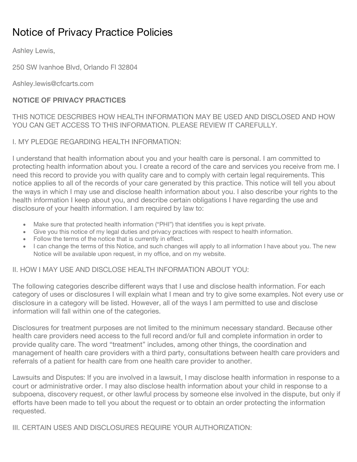# Notice of Privacy Practice Policies

Ashley Lewis,

250 SW Ivanhoe Blvd, Orlando Fl 32804

Ashley.lewis@cfcarts.com

## **NOTICE OF PRIVACY PRACTICES**

THIS NOTICE DESCRIBES HOW HEALTH INFORMATION MAY BE USED AND DISCLOSED AND HOW YOU CAN GET ACCESS TO THIS INFORMATION. PLEASE REVIEW IT CAREFULLY.

I. MY PLEDGE REGARDING HEALTH INFORMATION:

I understand that health information about you and your health care is personal. I am committed to protecting health information about you. I create a record of the care and services you receive from me. I need this record to provide you with quality care and to comply with certain legal requirements. This notice applies to all of the records of your care generated by this practice. This notice will tell you about the ways in which I may use and disclose health information about you. I also describe your rights to the health information I keep about you, and describe certain obligations I have regarding the use and disclosure of your health information. I am required by law to:

- Make sure that protected health information ("PHI") that identifies you is kept private.
- Give you this notice of my legal duties and privacy practices with respect to health information.
- Follow the terms of the notice that is currently in effect.
- I can change the terms of this Notice, and such changes will apply to all information I have about you. The new Notice will be available upon request, in my office, and on my website.

II. HOW I MAY USE AND DISCLOSE HEALTH INFORMATION ABOUT YOU:

The following categories describe different ways that I use and disclose health information. For each category of uses or disclosures I will explain what I mean and try to give some examples. Not every use or disclosure in a category will be listed. However, all of the ways I am permitted to use and disclose information will fall within one of the categories.

Disclosures for treatment purposes are not limited to the minimum necessary standard. Because other health care providers need access to the full record and/or full and complete information in order to provide quality care. The word "treatment" includes, among other things, the coordination and management of health care providers with a third party, consultations between health care providers and referrals of a patient for health care from one health care provider to another.

Lawsuits and Disputes: If you are involved in a lawsuit, I may disclose health information in response to a court or administrative order. I may also disclose health information about your child in response to a subpoena, discovery request, or other lawful process by someone else involved in the dispute, but only if efforts have been made to tell you about the request or to obtain an order protecting the information requested.

III. CERTAIN USES AND DISCLOSURES REQUIRE YOUR AUTHORIZATION: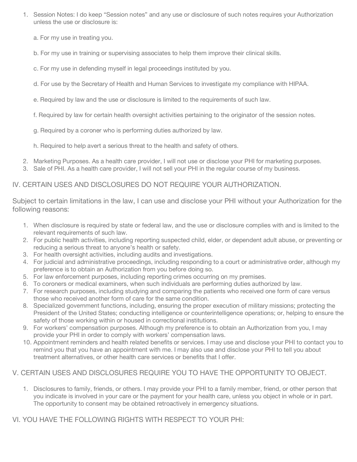- 1. Session Notes: I do keep "Session notes" and any use or disclosure of such notes requires your Authorization unless the use or disclosure is:
	- a. For my use in treating you.
	- b. For my use in training or supervising associates to help them improve their clinical skills.
	- c. For my use in defending myself in legal proceedings instituted by you.
	- d. For use by the Secretary of Health and Human Services to investigate my compliance with HIPAA.
	- e. Required by law and the use or disclosure is limited to the requirements of such law.
	- f. Required by law for certain health oversight activities pertaining to the originator of the session notes.
	- g. Required by a coroner who is performing duties authorized by law.
	- h. Required to help avert a serious threat to the health and safety of others.
- 2. Marketing Purposes. As a health care provider, I will not use or disclose your PHI for marketing purposes.
- 3. Sale of PHI. As a health care provider, I will not sell your PHI in the regular course of my business.

#### IV. CERTAIN USES AND DISCLOSURES DO NOT REQUIRE YOUR AUTHORIZATION.

Subject to certain limitations in the law, I can use and disclose your PHI without your Authorization for the following reasons:

- 1. When disclosure is required by state or federal law, and the use or disclosure complies with and is limited to the relevant requirements of such law.
- 2. For public health activities, including reporting suspected child, elder, or dependent adult abuse, or preventing or reducing a serious threat to anyone's health or safety.
- 3. For health oversight activities, including audits and investigations.
- 4. For judicial and administrative proceedings, including responding to a court or administrative order, although my preference is to obtain an Authorization from you before doing so.
- 5. For law enforcement purposes, including reporting crimes occurring on my premises.
- 6. To coroners or medical examiners, when such individuals are performing duties authorized by law.
- 7. For research purposes, including studying and comparing the patients who received one form of care versus those who received another form of care for the same condition.
- 8. Specialized government functions, including, ensuring the proper execution of military missions; protecting the President of the United States; conducting intelligence or counterintelligence operations; or, helping to ensure the safety of those working within or housed in correctional institutions.
- 9. For workers' compensation purposes. Although my preference is to obtain an Authorization from you, I may provide your PHI in order to comply with workers' compensation laws.
- 10. Appointment reminders and health related benefits or services. I may use and disclose your PHI to contact you to remind you that you have an appointment with me. I may also use and disclose your PHI to tell you about treatment alternatives, or other health care services or benefits that I offer.

### V. CERTAIN USES AND DISCLOSURES REQUIRE YOU TO HAVE THE OPPORTUNITY TO OBJECT.

1. Disclosures to family, friends, or others. I may provide your PHI to a family member, friend, or other person that you indicate is involved in your care or the payment for your health care, unless you object in whole or in part. The opportunity to consent may be obtained retroactively in emergency situations.

VI. YOU HAVE THE FOLLOWING RIGHTS WITH RESPECT TO YOUR PHI: